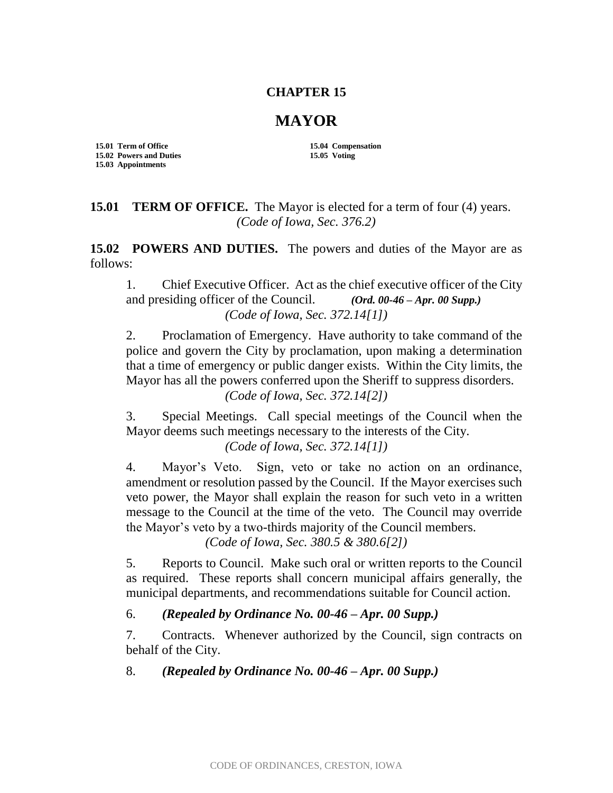## **CHAPTER 15**

## **MAYOR**

**15.01 Term of Office 15.04 Compensation 15.02 Powers and Duties 15.05 Voting 15.03 Appointments**

**15.01 TERM OF OFFICE.** The Mayor is elected for a term of four (4) years. *(Code of Iowa, Sec. 376.2)*

15.02 POWERS AND DUTIES. The powers and duties of the Mayor are as follows:

1. Chief Executive Officer. Act as the chief executive officer of the City and presiding officer of the Council. *(Ord. 00-46 – Apr. 00 Supp.) (Code of Iowa, Sec. 372.14[1])*

2. Proclamation of Emergency. Have authority to take command of the police and govern the City by proclamation, upon making a determination that a time of emergency or public danger exists. Within the City limits, the Mayor has all the powers conferred upon the Sheriff to suppress disorders. *(Code of Iowa, Sec. 372.14[2])*

3. Special Meetings. Call special meetings of the Council when the Mayor deems such meetings necessary to the interests of the City. *(Code of Iowa, Sec. 372.14[1])*

4. Mayor's Veto. Sign, veto or take no action on an ordinance, amendment or resolution passed by the Council. If the Mayor exercises such veto power, the Mayor shall explain the reason for such veto in a written message to the Council at the time of the veto. The Council may override the Mayor's veto by a two-thirds majority of the Council members.

*(Code of Iowa, Sec. 380.5 & 380.6[2])*

5. Reports to Council. Make such oral or written reports to the Council as required. These reports shall concern municipal affairs generally, the municipal departments, and recommendations suitable for Council action.

6. *(Repealed by Ordinance No. 00-46 – Apr. 00 Supp.)*

7. Contracts. Whenever authorized by the Council, sign contracts on behalf of the City.

8. *(Repealed by Ordinance No. 00-46 – Apr. 00 Supp.)*